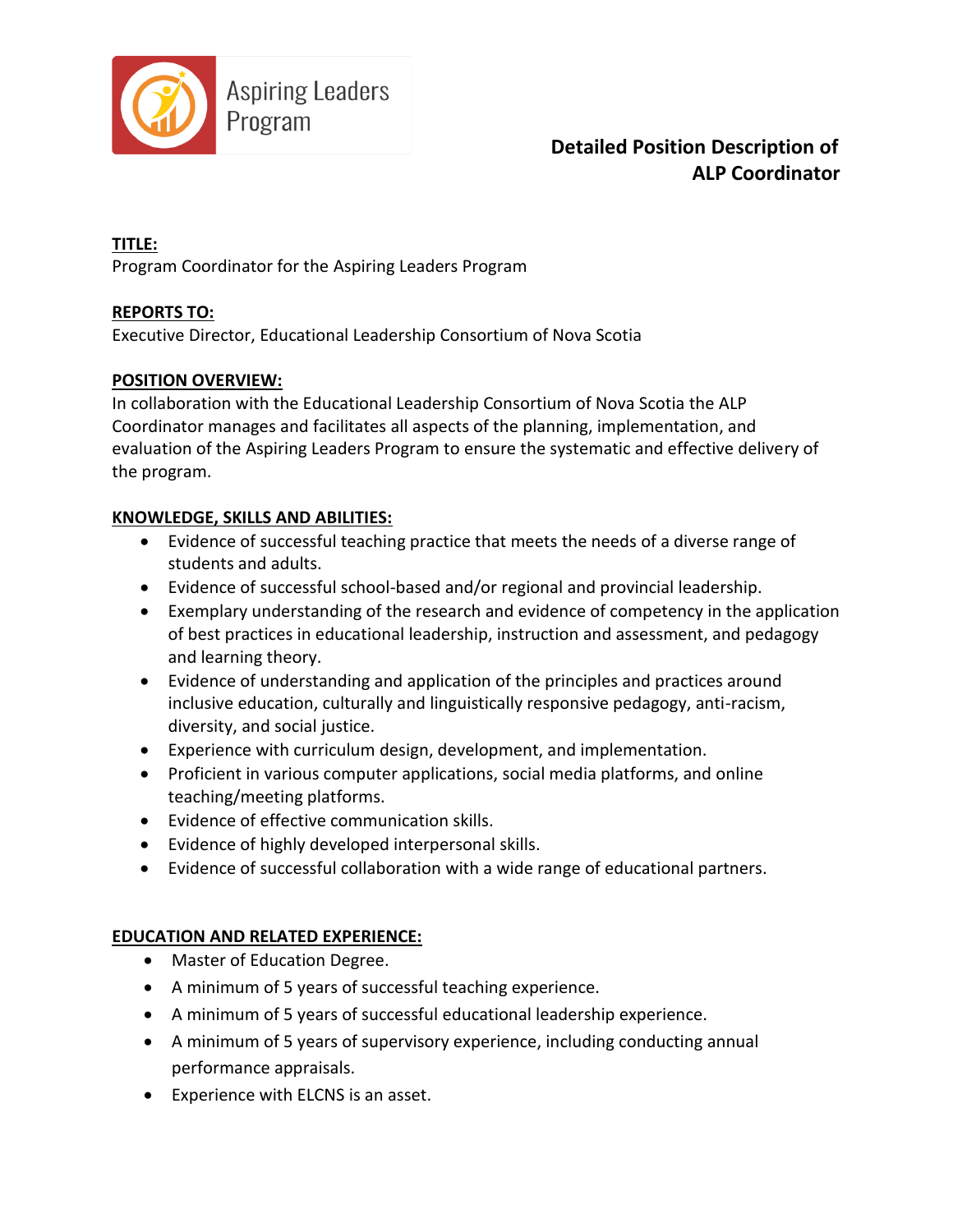

**TITLE:**

Program Coordinator for the Aspiring Leaders Program

#### **REPORTS TO:**

Executive Director, Educational Leadership Consortium of Nova Scotia

#### **POSITION OVERVIEW:**

In collaboration with the Educational Leadership Consortium of Nova Scotia the ALP Coordinator manages and facilitates all aspects of the planning, implementation, and evaluation of the Aspiring Leaders Program to ensure the systematic and effective delivery of the program.

#### **KNOWLEDGE, SKILLS AND ABILITIES:**

- Evidence of successful teaching practice that meets the needs of a diverse range of students and adults.
- Evidence of successful school-based and/or regional and provincial leadership.
- Exemplary understanding of the research and evidence of competency in the application of best practices in educational leadership, instruction and assessment, and pedagogy and learning theory.
- Evidence of understanding and application of the principles and practices around inclusive education, culturally and linguistically responsive pedagogy, anti-racism, diversity, and social justice.
- Experience with curriculum design, development, and implementation.
- Proficient in various computer applications, social media platforms, and online teaching/meeting platforms.
- Evidence of effective communication skills.
- Evidence of highly developed interpersonal skills.
- Evidence of successful collaboration with a wide range of educational partners.

### **EDUCATION AND RELATED EXPERIENCE:**

- Master of Education Degree.
- A minimum of 5 years of successful teaching experience.
- A minimum of 5 years of successful educational leadership experience.
- A minimum of 5 years of supervisory experience, including conducting annual performance appraisals.
- Experience with ELCNS is an asset.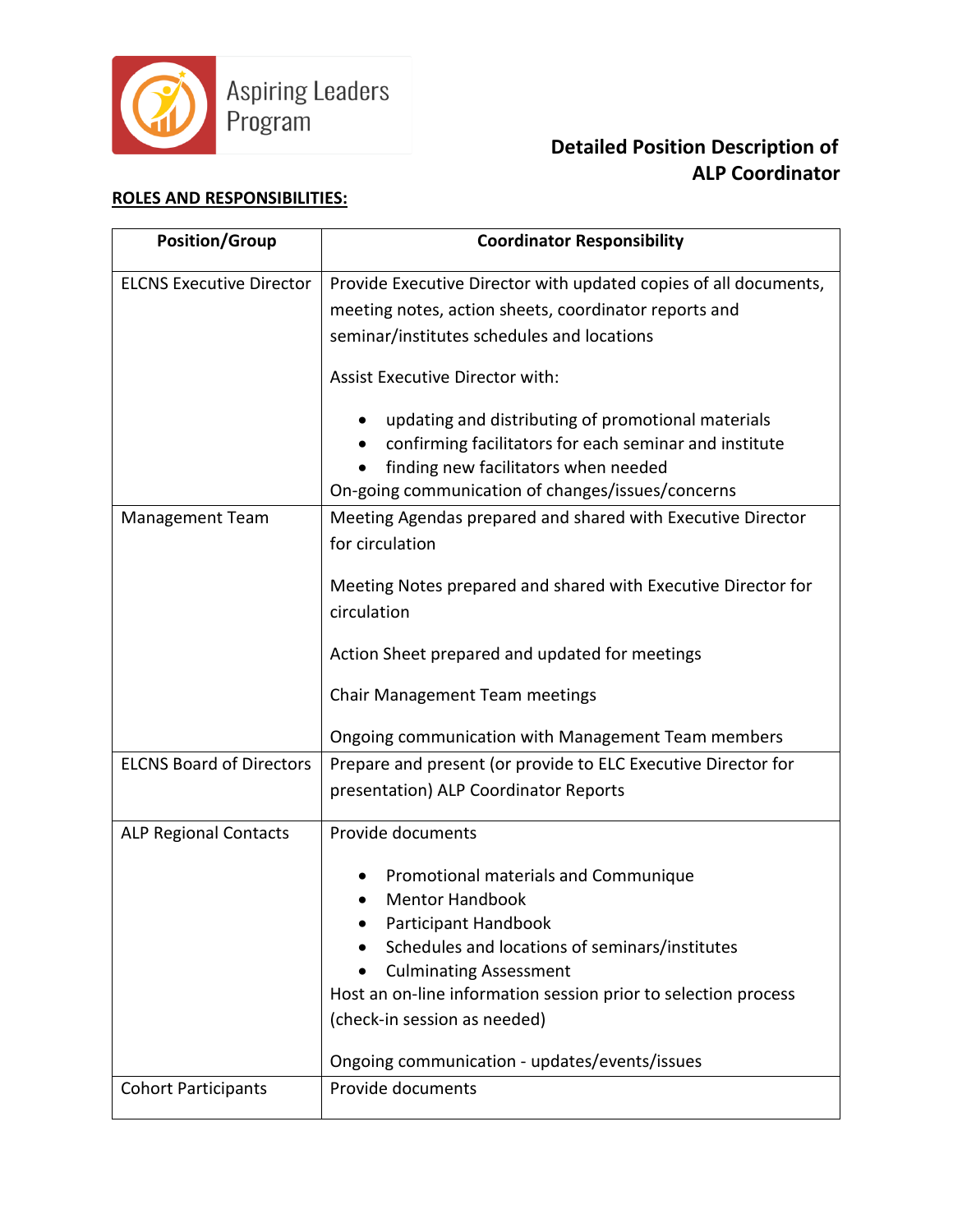

#### **ROLES AND RESPONSIBILITIES:**

| <b>Position/Group</b>           | <b>Coordinator Responsibility</b>                                              |
|---------------------------------|--------------------------------------------------------------------------------|
| <b>ELCNS Executive Director</b> | Provide Executive Director with updated copies of all documents,               |
|                                 | meeting notes, action sheets, coordinator reports and                          |
|                                 | seminar/institutes schedules and locations                                     |
|                                 | Assist Executive Director with:                                                |
|                                 | updating and distributing of promotional materials                             |
|                                 | confirming facilitators for each seminar and institute                         |
|                                 | finding new facilitators when needed                                           |
|                                 | On-going communication of changes/issues/concerns                              |
| <b>Management Team</b>          | Meeting Agendas prepared and shared with Executive Director<br>for circulation |
|                                 | Meeting Notes prepared and shared with Executive Director for                  |
|                                 | circulation                                                                    |
|                                 | Action Sheet prepared and updated for meetings                                 |
|                                 | Chair Management Team meetings                                                 |
|                                 | Ongoing communication with Management Team members                             |
| <b>ELCNS Board of Directors</b> | Prepare and present (or provide to ELC Executive Director for                  |
|                                 | presentation) ALP Coordinator Reports                                          |
| <b>ALP Regional Contacts</b>    | Provide documents                                                              |
|                                 | Promotional materials and Communique                                           |
|                                 | <b>Mentor Handbook</b>                                                         |
|                                 | Participant Handbook                                                           |
|                                 | Schedules and locations of seminars/institutes                                 |
|                                 | <b>Culminating Assessment</b>                                                  |
|                                 | Host an on-line information session prior to selection process                 |
|                                 | (check-in session as needed)                                                   |
|                                 | Ongoing communication - updates/events/issues                                  |
| <b>Cohort Participants</b>      | Provide documents                                                              |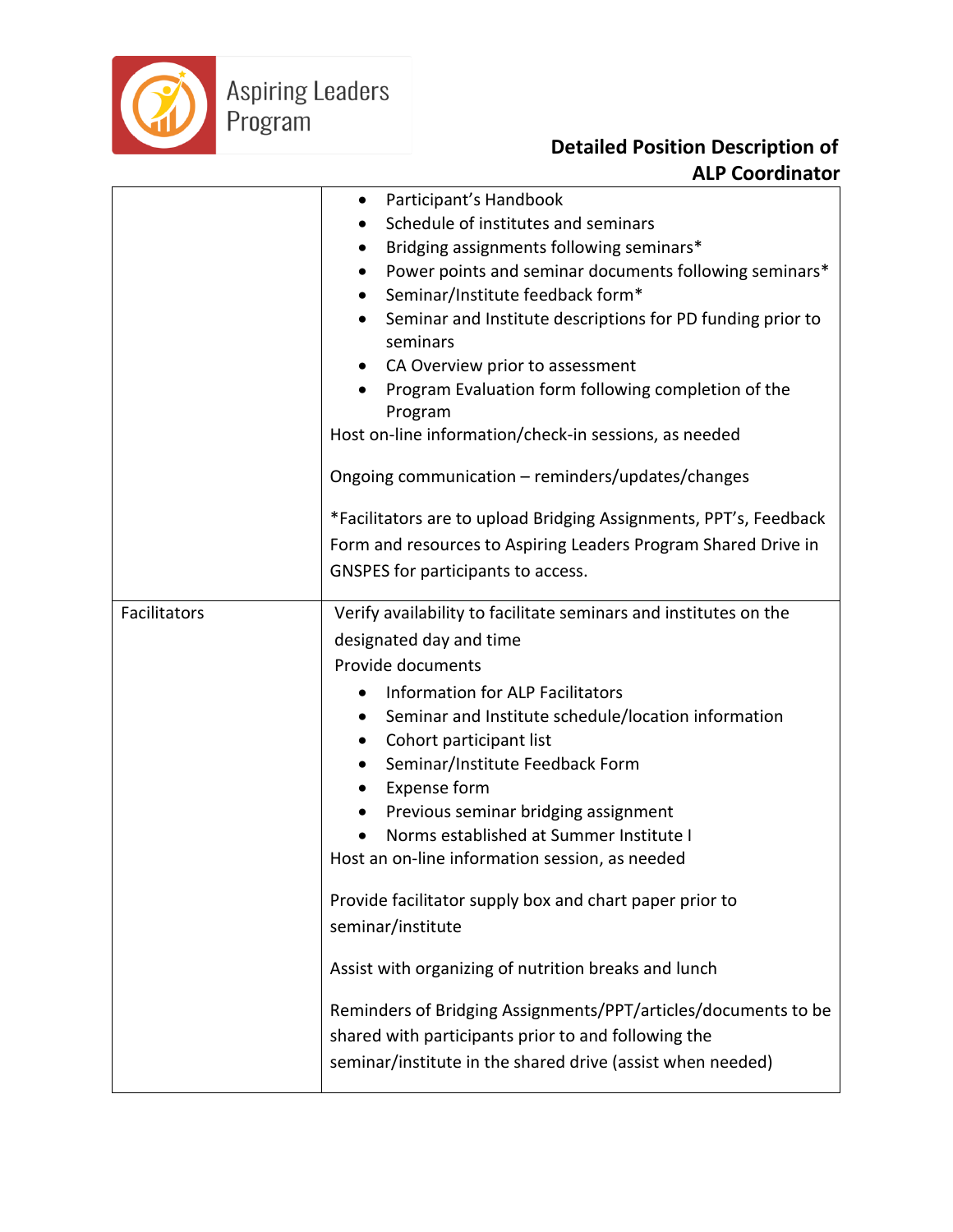

|              | Participant's Handbook<br>٠                                             |
|--------------|-------------------------------------------------------------------------|
|              | Schedule of institutes and seminars                                     |
|              | Bridging assignments following seminars*<br>$\bullet$                   |
|              | Power points and seminar documents following seminars*<br>$\bullet$     |
|              | Seminar/Institute feedback form*<br>$\bullet$                           |
|              | Seminar and Institute descriptions for PD funding prior to<br>$\bullet$ |
|              | seminars                                                                |
|              | CA Overview prior to assessment<br>$\bullet$                            |
|              | Program Evaluation form following completion of the<br>Program          |
|              | Host on-line information/check-in sessions, as needed                   |
|              | Ongoing communication - reminders/updates/changes                       |
|              | *Facilitators are to upload Bridging Assignments, PPT's, Feedback       |
|              | Form and resources to Aspiring Leaders Program Shared Drive in          |
|              | GNSPES for participants to access.                                      |
| Facilitators | Verify availability to facilitate seminars and institutes on the        |
|              | designated day and time                                                 |
|              | Provide documents                                                       |
|              | <b>Information for ALP Facilitators</b><br>$\bullet$                    |
|              | Seminar and Institute schedule/location information<br>$\bullet$        |
|              | Cohort participant list<br>$\bullet$                                    |
|              | Seminar/Institute Feedback Form<br>$\bullet$                            |
|              | <b>Expense form</b><br>٠                                                |
|              | Previous seminar bridging assignment<br>$\bullet$                       |
|              | Norms established at Summer Institute I                                 |
|              | Host an on-line information session, as needed                          |
|              | Provide facilitator supply box and chart paper prior to                 |
|              | seminar/institute                                                       |
|              | Assist with organizing of nutrition breaks and lunch                    |
|              | Reminders of Bridging Assignments/PPT/articles/documents to be          |
|              | shared with participants prior to and following the                     |
|              | seminar/institute in the shared drive (assist when needed)              |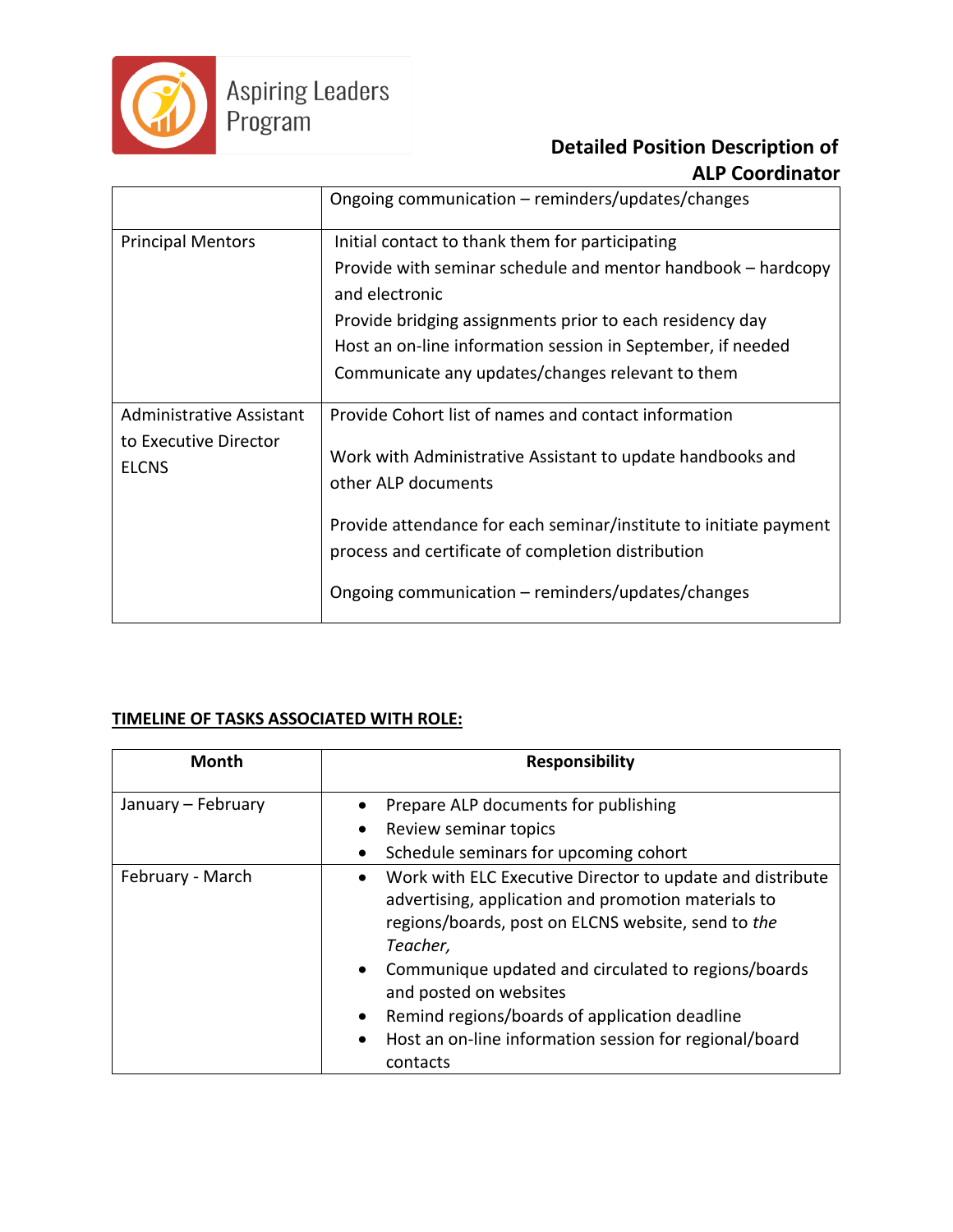

|                                                                          | Ongoing communication – reminders/updates/changes                                                                                                                                                                                                                                                                         |
|--------------------------------------------------------------------------|---------------------------------------------------------------------------------------------------------------------------------------------------------------------------------------------------------------------------------------------------------------------------------------------------------------------------|
| <b>Principal Mentors</b>                                                 | Initial contact to thank them for participating<br>Provide with seminar schedule and mentor handbook - hardcopy<br>and electronic<br>Provide bridging assignments prior to each residency day<br>Host an on-line information session in September, if needed<br>Communicate any updates/changes relevant to them          |
| <b>Administrative Assistant</b><br>to Executive Director<br><b>ELCNS</b> | Provide Cohort list of names and contact information<br>Work with Administrative Assistant to update handbooks and<br>other ALP documents<br>Provide attendance for each seminar/institute to initiate payment<br>process and certificate of completion distribution<br>Ongoing communication – reminders/updates/changes |

### **TIMELINE OF TASKS ASSOCIATED WITH ROLE:**

| <b>Month</b>       | <b>Responsibility</b>                                                                                                                                                              |
|--------------------|------------------------------------------------------------------------------------------------------------------------------------------------------------------------------------|
| January - February | Prepare ALP documents for publishing                                                                                                                                               |
|                    | Review seminar topics                                                                                                                                                              |
|                    | Schedule seminars for upcoming cohort                                                                                                                                              |
| February - March   | Work with ELC Executive Director to update and distribute<br>advertising, application and promotion materials to<br>regions/boards, post on ELCNS website, send to the<br>Teacher, |
|                    | Communique updated and circulated to regions/boards<br>$\bullet$<br>and posted on websites                                                                                         |
|                    | Remind regions/boards of application deadline<br>$\bullet$                                                                                                                         |
|                    | Host an on-line information session for regional/board<br>contacts                                                                                                                 |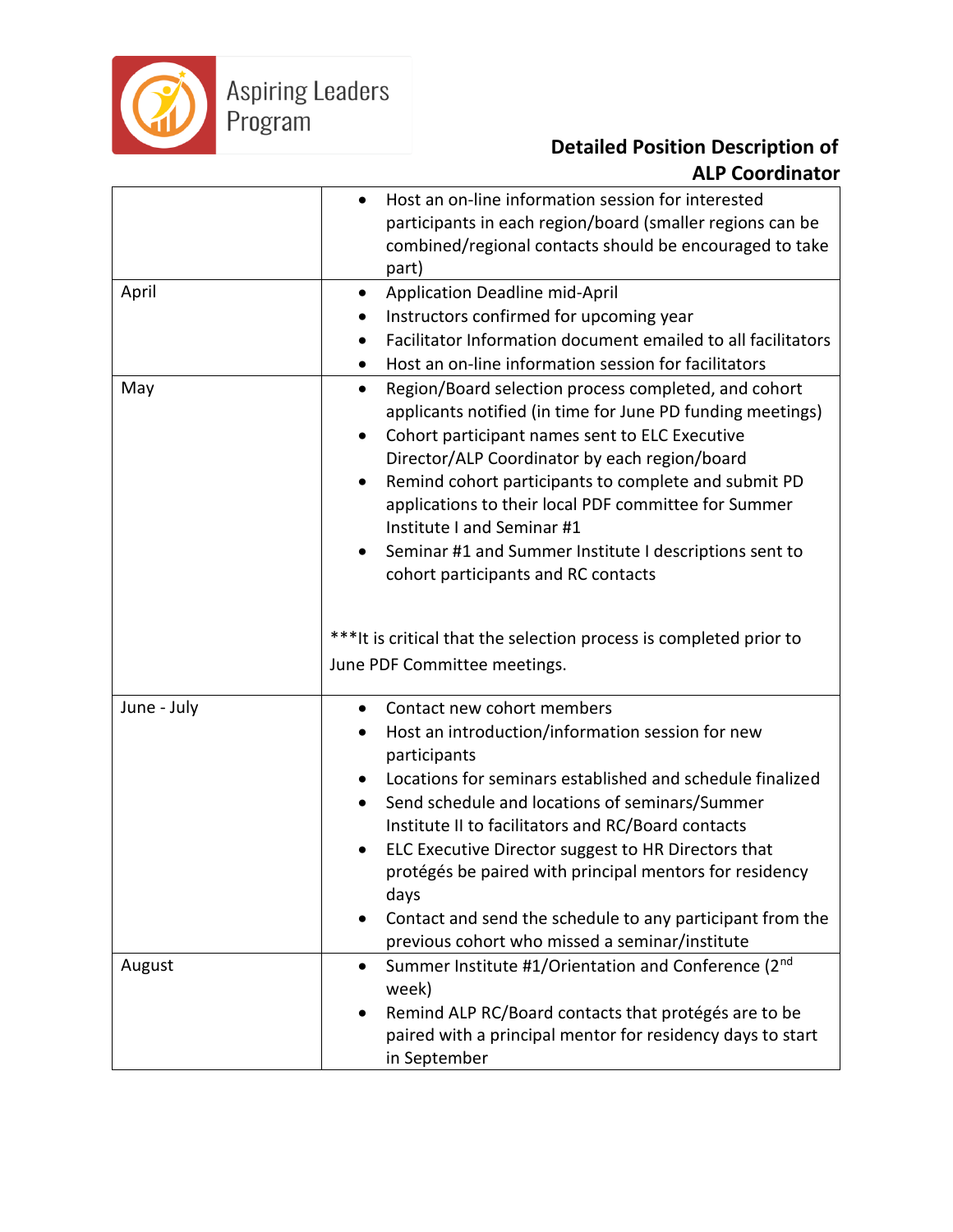

|             | Host an on-line information session for interested<br>participants in each region/board (smaller regions can be<br>combined/regional contacts should be encouraged to take                                                         |
|-------------|------------------------------------------------------------------------------------------------------------------------------------------------------------------------------------------------------------------------------------|
|             | part)                                                                                                                                                                                                                              |
| April       | Application Deadline mid-April<br>٠                                                                                                                                                                                                |
|             | Instructors confirmed for upcoming year                                                                                                                                                                                            |
|             | Facilitator Information document emailed to all facilitators                                                                                                                                                                       |
|             | Host an on-line information session for facilitators                                                                                                                                                                               |
| May         | Region/Board selection process completed, and cohort<br>$\bullet$<br>applicants notified (in time for June PD funding meetings)<br>Cohort participant names sent to ELC Executive<br>Director/ALP Coordinator by each region/board |
|             | Remind cohort participants to complete and submit PD<br>applications to their local PDF committee for Summer<br>Institute I and Seminar #1                                                                                         |
|             | Seminar #1 and Summer Institute I descriptions sent to<br>cohort participants and RC contacts                                                                                                                                      |
|             | ***It is critical that the selection process is completed prior to<br>June PDF Committee meetings.                                                                                                                                 |
| June - July | Contact new cohort members                                                                                                                                                                                                         |
|             | Host an introduction/information session for new<br>participants                                                                                                                                                                   |
|             | Locations for seminars established and schedule finalized                                                                                                                                                                          |
|             | Send schedule and locations of seminars/Summer                                                                                                                                                                                     |
|             | Institute II to facilitators and RC/Board contacts                                                                                                                                                                                 |
|             | ELC Executive Director suggest to HR Directors that                                                                                                                                                                                |
|             | protégés be paired with principal mentors for residency<br>days                                                                                                                                                                    |
|             | Contact and send the schedule to any participant from the<br>previous cohort who missed a seminar/institute                                                                                                                        |
| August      | Summer Institute #1/Orientation and Conference (2nd<br>week)                                                                                                                                                                       |
|             | Remind ALP RC/Board contacts that protégés are to be                                                                                                                                                                               |
|             | paired with a principal mentor for residency days to start                                                                                                                                                                         |
|             | in September                                                                                                                                                                                                                       |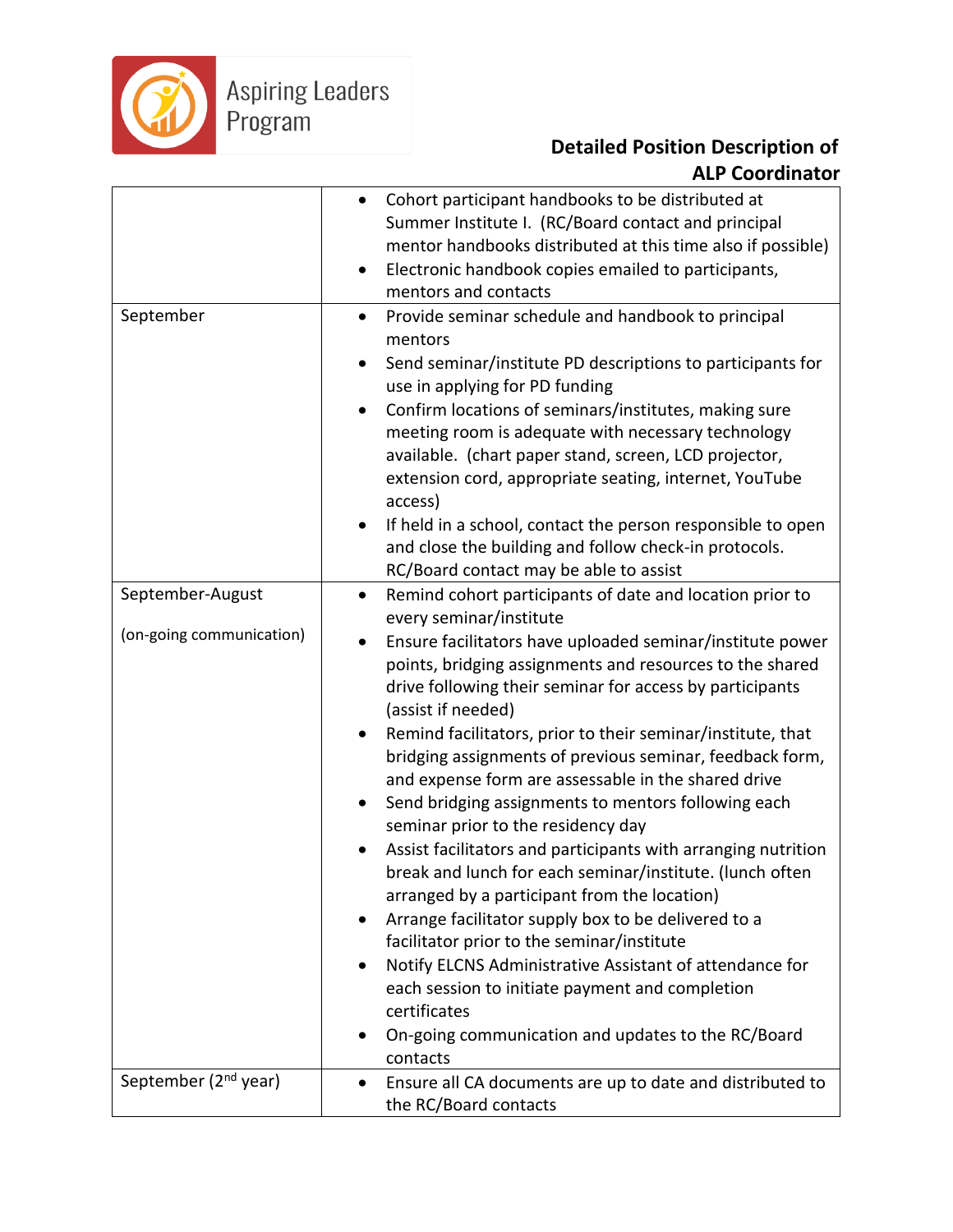

|                                  | Cohort participant handbooks to be distributed at<br>٠<br>Summer Institute I. (RC/Board contact and principal<br>mentor handbooks distributed at this time also if possible)<br>Electronic handbook copies emailed to participants,<br>$\bullet$                            |
|----------------------------------|-----------------------------------------------------------------------------------------------------------------------------------------------------------------------------------------------------------------------------------------------------------------------------|
|                                  | mentors and contacts                                                                                                                                                                                                                                                        |
| September                        | Provide seminar schedule and handbook to principal<br>$\bullet$<br>mentors<br>Send seminar/institute PD descriptions to participants for<br>$\bullet$                                                                                                                       |
|                                  | use in applying for PD funding                                                                                                                                                                                                                                              |
|                                  | Confirm locations of seminars/institutes, making sure<br>٠<br>meeting room is adequate with necessary technology<br>available. (chart paper stand, screen, LCD projector,<br>extension cord, appropriate seating, internet, YouTube<br>access)                              |
|                                  | If held in a school, contact the person responsible to open<br>and close the building and follow check-in protocols.<br>RC/Board contact may be able to assist                                                                                                              |
| September-August                 | Remind cohort participants of date and location prior to<br>$\bullet$                                                                                                                                                                                                       |
|                                  | every seminar/institute                                                                                                                                                                                                                                                     |
| (on-going communication)         | Ensure facilitators have uploaded seminar/institute power<br>٠<br>points, bridging assignments and resources to the shared<br>drive following their seminar for access by participants<br>(assist if needed)                                                                |
|                                  | Remind facilitators, prior to their seminar/institute, that<br>bridging assignments of previous seminar, feedback form,<br>and expense form are assessable in the shared drive<br>Send bridging assignments to mentors following each<br>seminar prior to the residency day |
|                                  | Assist facilitators and participants with arranging nutrition<br>break and lunch for each seminar/institute. (lunch often<br>arranged by a participant from the location)                                                                                                   |
|                                  | Arrange facilitator supply box to be delivered to a                                                                                                                                                                                                                         |
|                                  | facilitator prior to the seminar/institute                                                                                                                                                                                                                                  |
|                                  | Notify ELCNS Administrative Assistant of attendance for<br>each session to initiate payment and completion<br>certificates                                                                                                                                                  |
|                                  | On-going communication and updates to the RC/Board<br>contacts                                                                                                                                                                                                              |
| September (2 <sup>nd</sup> year) | Ensure all CA documents are up to date and distributed to<br>$\bullet$                                                                                                                                                                                                      |
|                                  | the RC/Board contacts                                                                                                                                                                                                                                                       |